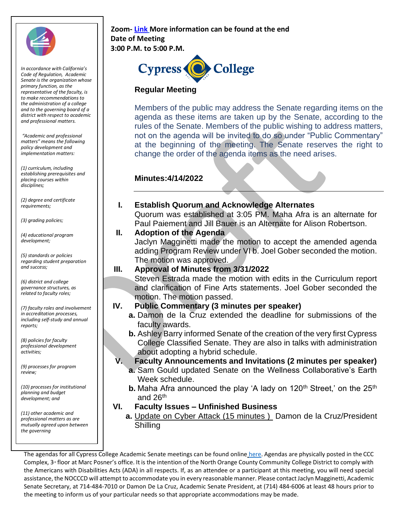

*In accordance with California's Code of Regulation, Academic Senate is the organization whose primary function, as the representative of the faculty, is to make recommendations to the administration of a college and to the governing board of a district with respect to academic and professional matters.*

*"Academic and professional matters" means the following policy development and implementation matters:*

*(1) curriculum, including establishing prerequisites and placing courses within disciplines;* 

*(2) degree and certificate requirements;* 

*(3) grading policies;* 

*(4) educational program development;* 

*(5) standards or policies regarding student preparation and success;* 

*(6) district and college governance structures, as related to faculty roles;* 

*(7) faculty roles and involvement in accreditation processes, including self-study and annual reports;* 

*(8) policies for faculty professional development activities;* 

*(9) processes for program review;* 

*(10) processes for institutional planning and budget development; and* 

*(11) other academic and professional matters as are mutually agreed upon between the governing*

#### **Zoom[-](https://cypresscollege-edu.zoom.us/j/98305681363?pwd=akYwS3l0TjdkODFGRXN3QW9IZ3BEZz09) [Link](https://cypresscollege-edu.zoom.us/j/94505848930?pwd=ekNnSklNelUxODVteFRsTjFqT0VtQT09) More information can be found at the end Date of Meeting 3:00 P.M. to 5:00 P.M.**



## **Regular Meeting**

Members of the public may address the Senate regarding items on the agenda as these items are taken up by the Senate, according to the rules of the Senate. Members of the public wishing to address matters, not on the agenda will be invited to do so under "Public Commentary" at the beginning of the meeting. The Senate reserves the right to change the order of the agenda items as the need arises.

## **Minutes:4/14/2022**

#### **I. Establish Quorum and Acknowledge Alternates**

Quorum was established at 3:05 PM. Maha Afra is an alternate for Paul Paiement and Jill Bauer is an Alternate for Alison Robertson.

#### **II. Adoption of the Agenda**

Jaclyn Magginetti made the motion to accept the amended agenda adding Program Review under VI b. Joel Gober seconded the motion. The motion was approved.

#### **III. Approval of Minutes from 3/31/2022**

Steven Estrada made the motion with edits in the Curriculum report and clarification of Fine Arts statements. Joel Gober seconded the motion. The motion passed.

#### **IV. Public Commentary (3 minutes per speaker)**

- **a.** Damon de la Cruz extended the deadline for submissions of the faculty awards.
- **b.** Ashley Barry informed Senate of the creation of the very first Cypress College Classified Senate. They are also in talks with administration about adopting a hybrid schedule.

**V. Faculty Announcements and Invitations (2 minutes per speaker)**

- **a.** Sam Gould updated Senate on the Wellness Collaborative's Earth Week schedule.
- **b.** Maha Afra announced the play 'A lady on 120<sup>th</sup> Street,' on the 25<sup>th</sup> and  $26<sup>th</sup>$

#### **VI. Faculty Issues – Unfinished Business**

**a.** Update on Cyber Attack (15 minutes ) Damon de la Cruz/President **Shilling** 

The agendas for all Cypress College Academic Senate meetings can be found online [here.](https://www.cypresscollege.edu/about/cypress-college-governance/academic-senate/agendas-and-minutes/) Agendas are physically posted in the CCC Complex, 3<sup>rd</sup> floor at Marc Posner's office. It is the intention of the North Orange County Community College District to comply with the Americans with Disabilities Acts (ADA) in all respects. If, as an attendee or a participant at this meeting, you will need special assistance, the NOCCCD will attempt to accommodate you in every reasonable manner. Please contact Jaclyn Magginetti, Academic Senate Secretary, at 714-484-7010 or Damon De La Cruz, Academic Senate President, at (714) 484-6006 at least 48 hours prior to the meeting to inform us of your particular needs so that appropriate accommodations may be made.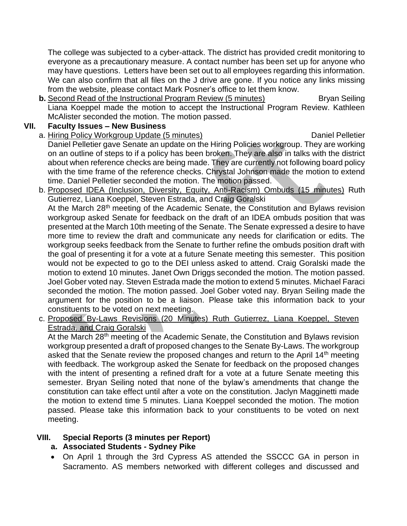The college was subjected to a cyber-attack. The district has provided credit monitoring to everyone as a precautionary measure. A contact number has been set up for anyone who may have questions. Letters have been set out to all employees regarding this information. We can also confirm that all files on the J drive are gone. If you notice any links missing from the website, please contact Mark Posner's office to let them know.

**b.** Second Read of the Instructional Program Review (5 minutes) Bryan Seiling Liana Koeppel made the motion to accept the Instructional Program Review. Kathleen McAlister seconded the motion. The motion passed.

## **VII. Faculty Issues – New Business**

- a. Hiring Policy Workgroup Update (5 minutes) Daniel Pelletier Daniel Pelletier gave Senate an update on the Hiring Policies workgroup. They are working on an outline of steps to if a policy has been broken. They are also in talks with the district about when reference checks are being made. They are currently not following board policy with the time frame of the reference checks. Chrystal Johnson made the motion to extend time. Daniel Pelletier seconded the motion. The motion passed.
- b. Proposed IDEA (Inclusion, Diversity, Equity, Anti-Racism) Ombuds (15 minutes) Ruth Gutierrez, Liana Koeppel, Steven Estrada, and Craig Goralski At the March 28<sup>th</sup> meeting of the Academic Senate, the Constitution and Bylaws revision workgroup asked Senate for feedback on the draft of an IDEA ombuds position that was presented at the March 10th meeting of the Senate. The Senate expressed a desire to have more time to review the draft and communicate any needs for clarification or edits. The workgroup seeks feedback from the Senate to further refine the ombuds position draft with the goal of presenting it for a vote at a future Senate meeting this semester. This position would not be expected to go to the DEI unless asked to attend. Craig Goralski made the motion to extend 10 minutes. Janet Own Driggs seconded the motion. The motion passed. Joel Gober voted nay. Steven Estrada made the motion to extend 5 minutes. Michael Faraci seconded the motion. The motion passed. Joel Gober voted nay. Bryan Seiling made the argument for the position to be a liaison. Please take this information back to your constituents to be voted on next meeting.
- c. Proposed By-Laws Revisions (20 Minutes) Ruth Gutierrez, Liana Koeppel, Steven Estrada, and Craig Goralski

At the March 28<sup>th</sup> meeting of the Academic Senate, the Constitution and Bylaws revision workgroup presented a draft of proposed changes to the Senate By-Laws. The workgroup asked that the Senate review the proposed changes and return to the April 14<sup>th</sup> meeting with feedback. The workgroup asked the Senate for feedback on the proposed changes with the intent of presenting a refined draft for a vote at a future Senate meeting this semester. Bryan Seiling noted that none of the bylaw's amendments that change the constitution can take effect until after a vote on the constitution. Jaclyn Magginetti made the motion to extend time 5 minutes. Liana Koeppel seconded the motion. The motion passed. Please take this information back to your constituents to be voted on next meeting.

## **VIII. Special Reports (3 minutes per Report)**

## **a. Associated Students - Sydney Pike**

• On April 1 through the 3rd Cypress AS attended the SSCCC GA in person in Sacramento. AS members networked with different colleges and discussed and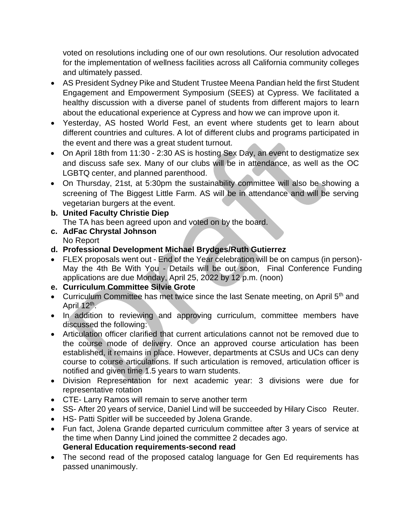voted on resolutions including one of our own resolutions. Our resolution advocated for the implementation of wellness facilities across all California community colleges and ultimately passed.

- AS President Sydney Pike and Student Trustee Meena Pandian held the first Student Engagement and Empowerment Symposium (SEES) at Cypress. We facilitated a healthy discussion with a diverse panel of students from different majors to learn about the educational experience at Cypress and how we can improve upon it.
- Yesterday, AS hosted World Fest, an event where students get to learn about different countries and cultures. A lot of different clubs and programs participated in the event and there was a great student turnout.
- On April 18th from 11:30 2:30 AS is hosting Sex Day, an event to destigmatize sex and discuss safe sex. Many of our clubs will be in attendance, as well as the OC LGBTQ center, and planned parenthood.
- On Thursday, 21st, at 5:30pm the sustainability committee will also be showing a screening of The Biggest Little Farm. AS will be in attendance and will be serving vegetarian burgers at the event.
- **b. United Faculty Christie Diep** The TA has been agreed upon and voted on by the board.
- **c. AdFac Chrystal Johnson** No Report
- **d. Professional Development Michael Brydges/Ruth Gutierrez**
- FLEX proposals went out End of the Year celebration will be on campus (in person)- May the 4th Be With You - Details will be out soon, Final Conference Funding applications are due Monday, April 25, 2022 by 12 p.m. (noon)
- **e. Curriculum Committee Silvie Grote**
- Curriculum Committee has met twice since the last Senate meeting, on April 5<sup>th</sup> and April 12<sup>th</sup>.
- In addition to reviewing and approving curriculum, committee members have discussed the following:
- Articulation officer clarified that current articulations cannot not be removed due to the course mode of delivery. Once an approved course articulation has been established, it remains in place. However, departments at CSUs and UCs can deny course to course articulations. If such articulation is removed, articulation officer is notified and given time 1.5 years to warn students.
- Division Representation for next academic year: 3 divisions were due for representative rotation
- CTE- Larry Ramos will remain to serve another term
- SS- After 20 years of service, Daniel Lind will be succeeded by Hilary Cisco Reuter.
- HS- Patti Spitler will be succeeded by Jolena Grande.
- Fun fact, Jolena Grande departed curriculum committee after 3 years of service at the time when Danny Lind joined the committee 2 decades ago. **General Education requirements-second read**
- The second read of the proposed catalog language for Gen Ed requirements has passed unanimously.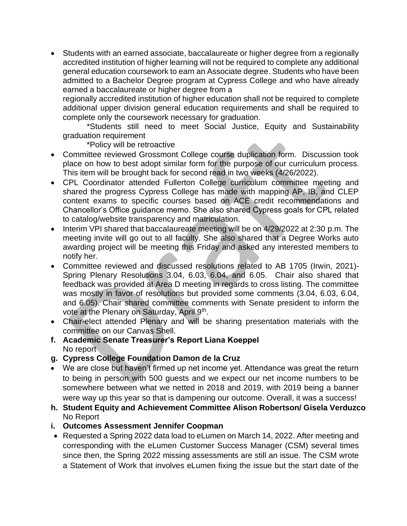• Students with an earned associate, baccalaureate or higher degree from a regionally accredited institution of higher learning will not be required to complete any additional general education coursework to earn an Associate degree. Students who have been admitted to a Bachelor Degree program at Cypress College and who have already earned a baccalaureate or higher degree from a

regionally accredited institution of higher education shall not be required to complete additional upper division general education requirements and shall be required to complete only the coursework necessary for graduation.

\*Students still need to meet Social Justice, Equity and Sustainability graduation requirement

\*Policy will be retroactive

- Committee reviewed Grossmont College course duplication form. Discussion took place on how to best adopt similar form for the purpose of our curriculum process. This item will be brought back for second read in two weeks (4/26/2022).
- CPL Coordinator attended Fullerton College curriculum committee meeting and shared the progress Cypress College has made with mapping AP, IB, and CLEP content exams to specific courses based on ACE credit recommendations and Chancellor's Office guidance memo. She also shared Cypress goals for CPL related to catalog/website transparency and matriculation.
- Interim VPI shared that baccalaureate meeting will be on 4/29/2022 at 2:30 p.m. The meeting invite will go out to all faculty. She also shared that a Degree Works auto awarding project will be meeting this Friday and asked any interested members to notify her.
- Committee reviewed and discussed resolutions related to AB 1705 (Irwin, 2021)- Spring Plenary Resolutions 3.04, 6.03, 6.04, and 6.05. Chair also shared that feedback was provided at Area D meeting in regards to cross listing. The committee was mostly in favor of resolutions but provided some comments (3.04, 6.03, 6.04, and 6.05). Chair shared committee comments with Senate president to inform the vote at the Plenary on Saturday, April 9<sup>th</sup>.
- Chair-elect attended Plenary and will be sharing presentation materials with the committee on our Canvas Shell.
- **f. Academic Senate Treasurer's Report Liana Koeppel** No report
- **g. Cypress College Foundation Damon de la Cruz**
- We are close but haven't firmed up net income yet. Attendance was great the return to being in person with 500 guests and we expect our net income numbers to be somewhere between what we netted in 2018 and 2019, with 2019 being a banner were way up this year so that is dampening our outcome. Overall, it was a success!
- **h. Student Equity and Achievement Committee Alison Robertson/ Gisela Verduzco** No Report
- **i. Outcomes Assessment Jennifer Coopman**
- Requested a Spring 2022 data load to eLumen on March 14, 2022. After meeting and corresponding with the eLumen Customer Success Manager (CSM) several times since then, the Spring 2022 missing assessments are still an issue. The CSM wrote a Statement of Work that involves eLumen fixing the issue but the start date of the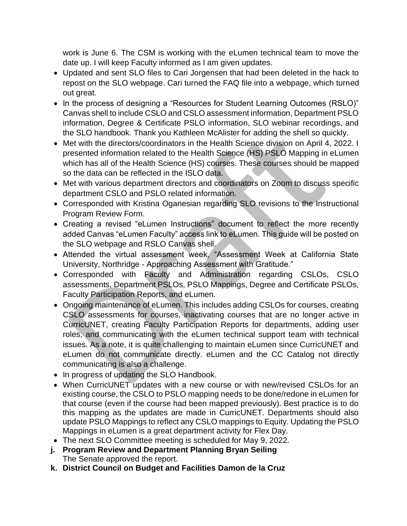work is June 6. The CSM is working with the eLumen technical team to move the date up. I will keep Faculty informed as I am given updates.

- Updated and sent SLO files to Cari Jorgensen that had been deleted in the hack to repost on the SLO webpage. Cari turned the FAQ file into a webpage, which turned out great.
- In the process of designing a "Resources for Student Learning Outcomes (RSLO)" Canvas shell to include CSLO and CSLO assessment information, Department PSLO information, Degree & Certificate PSLO information, SLO webinar recordings, and the SLO handbook. Thank you Kathleen McAlister for adding the shell so quickly.
- Met with the directors/coordinators in the Health Science division on April 4, 2022. I presented information related to the Health Science (HS) PSLO Mapping in eLumen which has all of the Health Science (HS) courses. These courses should be mapped so the data can be reflected in the ISLO data.
- Met with various department directors and coordinators on Zoom to discuss specific department CSLO and PSLO related information.
- Corresponded with Kristina Oganesian regarding SLO revisions to the Instructional Program Review Form.
- Creating a revised "eLumen Instructions" document to reflect the more recently added Canvas "eLumen Faculty" access link to eLumen. This guide will be posted on the SLO webpage and RSLO Canvas shell.
- Attended the virtual assessment week, "Assessment Week at California State University, Northridge - Approaching Assessment with Gratitude."
- Corresponded with Faculty and Administration regarding CSLOs, CSLO assessments, Department PSLOs, PSLO Mappings, Degree and Certificate PSLOs, Faculty Participation Reports, and eLumen.
- Ongoing maintenance of eLumen. This includes adding CSLOs for courses, creating CSLO assessments for courses, inactivating courses that are no longer active in CurricUNET, creating Faculty Participation Reports for departments, adding user roles, and communicating with the eLumen technical support team with technical issues. As a note, it is quite challenging to maintain eLumen since CurricUNET and eLumen do not communicate directly. eLumen and the CC Catalog not directly communicating is also a challenge.
- In progress of updating the SLO Handbook.
- When CurricUNET updates with a new course or with new/revised CSLOs for an existing course, the CSLO to PSLO mapping needs to be done/redone in eLumen for that course (even if the course had been mapped previously). Best practice is to do this mapping as the updates are made in CurricUNET. Departments should also update PSLO Mappings to reflect any CSLO mappings to Equity. Updating the PSLO Mappings in eLumen is a great department activity for Flex Day.
- The next SLO Committee meeting is scheduled for May 9, 2022.
- **j. Program Review and Department Planning Bryan Seiling** The Senate approved the report.
- **k. District Council on Budget and Facilities Damon de la Cruz**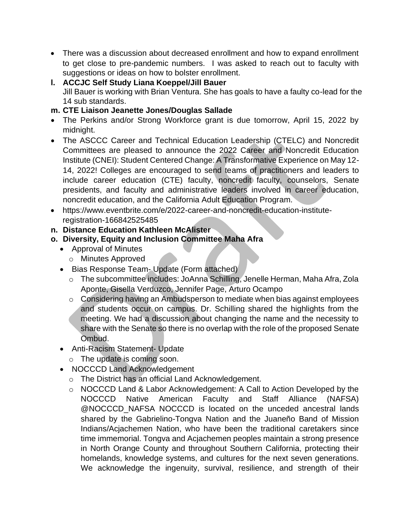- There was a discussion about decreased enrollment and how to expand enrollment to get close to pre-pandemic numbers. I was asked to reach out to faculty with suggestions or ideas on how to bolster enrollment.
- **l. ACCJC Self Study Liana Koeppel/Jill Bauer** Jill Bauer is working with Brian Ventura. She has goals to have a faulty co-lead for the 14 sub standards.

## **m. CTE Liaison Jeanette Jones/Douglas Sallade**

- The Perkins and/or Strong Workforce grant is due tomorrow, April 15, 2022 by midnight.
- The ASCCC Career and Technical Education Leadership (CTELC) and Noncredit Committees are pleased to announce the 2022 Career and Noncredit Education Institute (CNEI): Student Centered Change: A Transformative Experience on May 12- 14, 2022! Colleges are encouraged to send teams of practitioners and leaders to include career education (CTE) faculty, noncredit faculty, counselors, Senate presidents, and faculty and administrative leaders involved in career education, noncredit education, and the California Adult Education Program.
- https://www.eventbrite.com/e/2022-career-and-noncredit-education-instituteregistration-166842525485
- **n. Distance Education Kathleen McAlister**
- **o. Diversity, Equity and Inclusion Committee Maha Afra**
	- Approval of Minutes
		- o Minutes Approved
	- Bias Response Team- Update (Form attached)
		- o The subcommittee includes: JoAnna Schilling, Jenelle Herman, Maha Afra, Zola Aponte, Gisella Verduzco, Jennifer Page, Arturo Ocampo
		- o Considering having an Ambudsperson to mediate when bias against employees and students occur on campus. Dr. Schilling shared the highlights from the meeting. We had a discussion about changing the name and the necessity to share with the Senate so there is no overlap with the role of the proposed Senate Ombud.
	- Anti-Racism Statement- Update
		- o The update is coming soon.
	- NOCCCD Land Acknowledgement
		- o The District has an official Land Acknowledgement.
		- o NOCCCD Land & Labor Acknowledgement: A Call to Action Developed by the NOCCCD Native American Faculty and Staff Alliance (NAFSA) @NOCCCD\_NAFSA NOCCCD is located on the unceded ancestral lands shared by the Gabrielino-Tongva Nation and the Juaneño Band of Mission Indians/Acjachemen Nation, who have been the traditional caretakers since time immemorial. Tongva and Acjachemen peoples maintain a strong presence in North Orange County and throughout Southern California, protecting their homelands, knowledge systems, and cultures for the next seven generations. We acknowledge the ingenuity, survival, resilience, and strength of their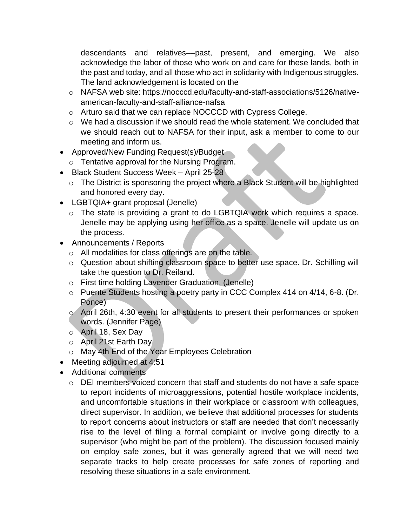descendants and relatives––past, present, and emerging. We also acknowledge the labor of those who work on and care for these lands, both in the past and today, and all those who act in solidarity with Indigenous struggles. The land acknowledgement is located on the

- o NAFSA web site: https://nocccd.edu/faculty-and-staff-associations/5126/nativeamerican-faculty-and-staff-alliance-nafsa
- o Arturo said that we can replace NOCCCD with Cypress College.
- $\circ$  We had a discussion if we should read the whole statement. We concluded that we should reach out to NAFSA for their input, ask a member to come to our meeting and inform us.
- Approved/New Funding Request(s)/Budget
- o Tentative approval for the Nursing Program.
- Black Student Success Week April 25-28
	- o The District is sponsoring the project where a Black Student will be highlighted and honored every day.
- LGBTQIA+ grant proposal (Jenelle)
	- o The state is providing a grant to do LGBTQIA work which requires a space. Jenelle may be applying using her office as a space. Jenelle will update us on the process.
- Announcements / Reports
	- o All modalities for class offerings are on the table.
	- o Question about shifting classroom space to better use space. Dr. Schilling will take the question to Dr. Reiland.
	- o First time holding Lavender Graduation. (Jenelle)
	- o Puente Students hosting a poetry party in CCC Complex 414 on 4/14, 6-8. (Dr. Ponce)
	- o April 26th, 4:30 event for all students to present their performances or spoken words. (Jennifer Page)
	- o April 18, Sex Day
	- o April 21st Earth Day
	- o May 4th End of the Year Employees Celebration
- Meeting adjourned at 4:51
- Additional comments
	- $\circ$  DEI members voiced concern that staff and students do not have a safe space to report incidents of microaggressions, potential hostile workplace incidents, and uncomfortable situations in their workplace or classroom with colleagues, direct supervisor. In addition, we believe that additional processes for students to report concerns about instructors or staff are needed that don't necessarily rise to the level of filing a formal complaint or involve going directly to a supervisor (who might be part of the problem). The discussion focused mainly on employ safe zones, but it was generally agreed that we will need two separate tracks to help create processes for safe zones of reporting and resolving these situations in a safe environment.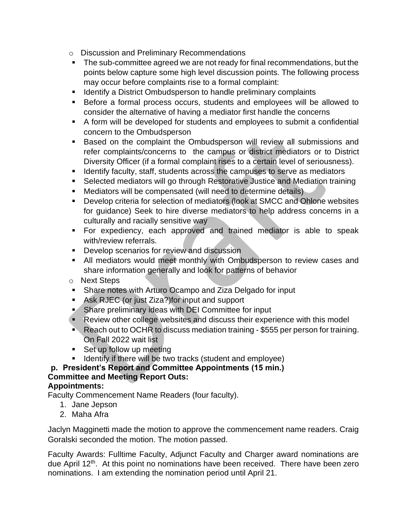- o Discussion and Preliminary Recommendations
- The sub-committee agreed we are not ready for final recommendations, but the points below capture some high level discussion points. The following process may occur before complaints rise to a formal complaint:
- Identify a District Ombudsperson to handle preliminary complaints
- Before a formal process occurs, students and employees will be allowed to consider the alternative of having a mediator first handle the concerns
- A form will be developed for students and employees to submit a confidential concern to the Ombudsperson
- Based on the complaint the Ombudsperson will review all submissions and refer complaints/concerns to the campus or district mediators or to District Diversity Officer (if a formal complaint rises to a certain level of seriousness).
- **EXEDENTIFY FACULTY, Staff, students across the campuses to serve as mediators**
- Selected mediators will go through Restorative Justice and Mediation training
- Mediators will be compensated (will need to determine details)
- Develop criteria for selection of mediators (look at SMCC and Ohlone websites for guidance) Seek to hire diverse mediators to help address concerns in a culturally and racially sensitive way
- **•** For expediency, each approved and trained mediator is able to speak with/review referrals.
- **Develop scenarios for review and discussion**
- **E** All mediators would meet monthly with Ombudsperson to review cases and share information generally and look for patterns of behavior
- o Next Steps
- Share notes with Arturo Ocampo and Ziza Delgado for input
- Ask RJEC (or just Ziza?) for input and support
- Share preliminary ideas with DEI Committee for input
- Review other college websites and discuss their experience with this model
- Reach out to OCHR to discuss mediation training \$555 per person for training. On Fall 2022 wait list
- Set up follow up meeting
- Identify if there will be two tracks (student and employee)

# **p. President's Report and Committee Appointments (15 min.) Committee and Meeting Report Outs:**

## **Appointments:**

Faculty Commencement Name Readers (four faculty).

- 1. Jane Jepson
- 2. Maha Afra

Jaclyn Magginetti made the motion to approve the commencement name readers. Craig Goralski seconded the motion. The motion passed.

Faculty Awards: Fulltime Faculty, Adjunct Faculty and Charger award nominations are due April 12<sup>th</sup>. At this point no nominations have been received. There have been zero nominations. I am extending the nomination period until April 21.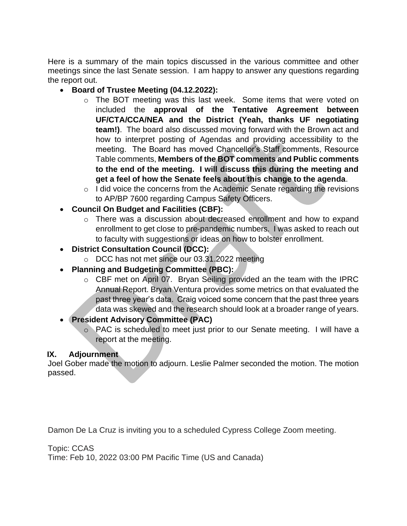Here is a summary of the main topics discussed in the various committee and other meetings since the last Senate session. I am happy to answer any questions regarding the report out.

- **Board of Trustee Meeting (04.12.2022):** 
	- o The BOT meeting was this last week. Some items that were voted on included the **approval of the Tentative Agreement between UF/CTA/CCA/NEA and the District (Yeah, thanks UF negotiating team!)**. The board also discussed moving forward with the Brown act and how to interpret posting of Agendas and providing accessibility to the meeting. The Board has moved Chancellor's Staff comments, Resource Table comments, **Members of the BOT comments and Public comments to the end of the meeting. I will discuss this during the meeting and get a feel of how the Senate feels about this change to the agenda**.
	- o I did voice the concerns from the Academic Senate regarding the revisions to AP/BP 7600 regarding Campus Safety Officers.
- **Council On Budget and Facilities (CBF):** 
	- o There was a discussion about decreased enrollment and how to expand enrollment to get close to pre-pandemic numbers. I was asked to reach out to faculty with suggestions or ideas on how to bolster enrollment.
- **District Consultation Council (DCC):** 
	- o DCC has not met since our 03.31.2022 meeting
- **Planning and Budgeting Committee (PBC):**
	- o CBF met on April 07. Bryan Seiling provided an the team with the IPRC Annual Report. Bryan Ventura provides some metrics on that evaluated the past three year's data. Craig voiced some concern that the past three years data was skewed and the research should look at a broader range of years.
- **President Advisory Committee (PAC)**
	- o PAC is scheduled to meet just prior to our Senate meeting. I will have a report at the meeting.

## **IX. Adjournment**

Joel Gober made the motion to adjourn. Leslie Palmer seconded the motion. The motion passed.

Damon De La Cruz is inviting you to a scheduled Cypress College Zoom meeting.

Topic: CCAS

Time: Feb 10, 2022 03:00 PM Pacific Time (US and Canada)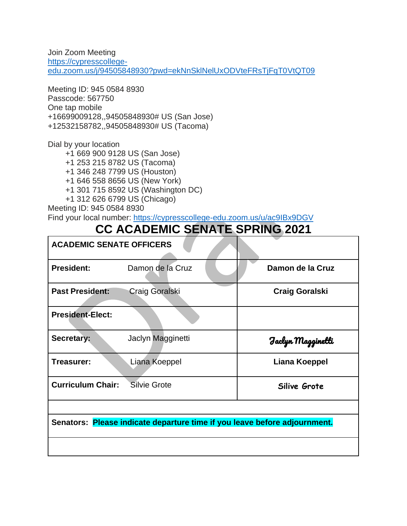Join Zoom Meeting [https://cypresscollege](https://nam10.safelinks.protection.outlook.com/?url=https%3A%2F%2Fcypresscollege-edu.zoom.us%2Fj%2F94505848930%3Fpwd%3DekNnSklNelUxODVteFRsTjFqT0VtQT09&data=04%7C01%7Cjmagginetti%40cypresscollege.edu%7C816878f1e32c4729664c08d9ea92d209%7C7b69ea2875f3494c8a21913b138337f8%7C0%7C0%7C637798738585124901%7CUnknown%7CTWFpbGZsb3d8eyJWIjoiMC4wLjAwMDAiLCJQIjoiV2luMzIiLCJBTiI6Ik1haWwiLCJXVCI6Mn0%3D%7C3000&sdata=kRxoqq7z5ZcIn83BiUDw21mo0OF3jNjzv1BVzhcoXFg%3D&reserved=0)[edu.zoom.us/j/94505848930?pwd=ekNnSklNelUxODVteFRsTjFqT0VtQT09](https://nam10.safelinks.protection.outlook.com/?url=https%3A%2F%2Fcypresscollege-edu.zoom.us%2Fj%2F94505848930%3Fpwd%3DekNnSklNelUxODVteFRsTjFqT0VtQT09&data=04%7C01%7Cjmagginetti%40cypresscollege.edu%7C816878f1e32c4729664c08d9ea92d209%7C7b69ea2875f3494c8a21913b138337f8%7C0%7C0%7C637798738585124901%7CUnknown%7CTWFpbGZsb3d8eyJWIjoiMC4wLjAwMDAiLCJQIjoiV2luMzIiLCJBTiI6Ik1haWwiLCJXVCI6Mn0%3D%7C3000&sdata=kRxoqq7z5ZcIn83BiUDw21mo0OF3jNjzv1BVzhcoXFg%3D&reserved=0)

Meeting ID: 945 0584 8930 Passcode: 567750 One tap mobile +16699009128,,94505848930# US (San Jose) +12532158782,,94505848930# US (Tacoma)

Dial by your location

+1 669 900 9128 US (San Jose)

+1 253 215 8782 US (Tacoma)

+1 346 248 7799 US (Houston)

+1 646 558 8656 US (New York)

+1 301 715 8592 US (Washington DC)

+1 312 626 6799 US (Chicago)

Meeting ID: 945 0584 8930 Find your local number: [https://cypresscollege-edu.zoom.us/u/ac9IBx9DGV](https://nam10.safelinks.protection.outlook.com/?url=https%3A%2F%2Fcypresscollege-edu.zoom.us%2Fu%2Fac9IBx9DGV&data=04%7C01%7Cjmagginetti%40cypresscollege.edu%7C816878f1e32c4729664c08d9ea92d209%7C7b69ea2875f3494c8a21913b138337f8%7C0%7C0%7C637798738585124901%7CUnknown%7CTWFpbGZsb3d8eyJWIjoiMC4wLjAwMDAiLCJQIjoiV2luMzIiLCJBTiI6Ik1haWwiLCJXVCI6Mn0%3D%7C3000&sdata=teveHz2%2FOLZnT%2FFVM%2Byl%2FLNChxWNeHyeIymCWHTZIUA%3D&reserved=0)

# **CC ACADEMIC SENATE SPRING 2021**

| <b>ACADEMIC SENATE OFFICERS</b>                                           |                   |                       |  |  |
|---------------------------------------------------------------------------|-------------------|-----------------------|--|--|
| <b>President:</b>                                                         | Damon de la Cruz  | Damon de la Cruz      |  |  |
| <b>Past President:</b>                                                    | Craig Goralski    | <b>Craig Goralski</b> |  |  |
| <b>President-Elect:</b>                                                   |                   |                       |  |  |
| Secretary:                                                                | Jaclyn Magginetti | Faclyn Magginetti     |  |  |
| Treasurer:                                                                | Liana Koeppel     | Liana Koeppel         |  |  |
| <b>Curriculum Chair:</b>                                                  | Silvie Grote      | Silive Grote          |  |  |
|                                                                           |                   |                       |  |  |
| Senators: Please indicate departure time if you leave before adjournment. |                   |                       |  |  |
|                                                                           |                   |                       |  |  |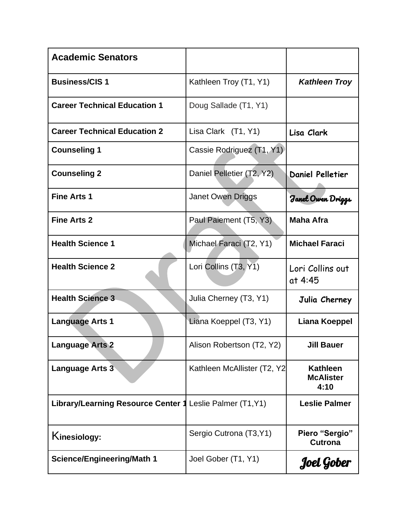| <b>Academic Senators</b>                  |                             |                                             |
|-------------------------------------------|-----------------------------|---------------------------------------------|
| <b>Business/CIS1</b>                      | Kathleen Troy (T1, Y1)      | <b>Kathleen Troy</b>                        |
| <b>Career Technical Education 1</b>       | Doug Sallade (T1, Y1)       |                                             |
| <b>Career Technical Education 2</b>       | Lisa Clark (T1, Y1)         | Lisa Clark                                  |
| <b>Counseling 1</b>                       | Cassie Rodriguez (T1, Y1)   |                                             |
| <b>Counseling 2</b>                       | Daniel Pelletier (T2, Y2)   | <b>Daniel Pelletier</b>                     |
| <b>Fine Arts 1</b>                        | Janet Owen Driggs           | Janet Owen Driggs                           |
| <b>Fine Arts 2</b>                        | Paul Paiement (T5, Y3)      | <b>Maha Afra</b>                            |
| <b>Health Science 1</b>                   | Michael Faraci (T2, Y1)     | <b>Michael Faraci</b>                       |
| <b>Health Science 2</b>                   | Lori Collins (T3, Y1)       | Lori Collins out<br>at 4:45                 |
| <b>Health Science 3</b>                   | Julia Cherney (T3, Y1)      | Julia Cherney                               |
| <b>Language Arts 1</b>                    | Liana Koeppel (T3, Y1)      | Liana Koeppel                               |
| <b>Language Arts 2</b>                    | Alison Robertson (T2, Y2)   | <b>Jill Bauer</b>                           |
| <b>Language Arts 3</b>                    | Kathleen McAllister (T2, Y2 | <b>Kathleen</b><br><b>McAlister</b><br>4:10 |
| <b>Library/Learning Resource Center 1</b> | Leslie Palmer (T1, Y1)      | <b>Leslie Palmer</b>                        |
| Kinesiology:                              | Sergio Cutrona (T3, Y1)     | Piero "Sergio"<br><b>Cutrona</b>            |
| <b>Science/Engineering/Math 1</b>         | Joel Gober (T1, Y1)         | Joel Gober                                  |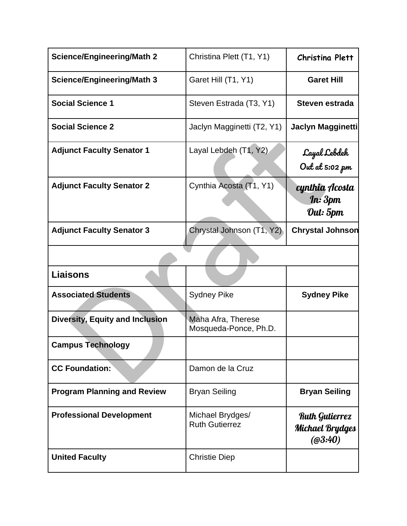| <b>Science/Engineering/Math 2</b>      | Christina Plett (T1, Y1)                    | <b>Christina Plett</b>                                     |
|----------------------------------------|---------------------------------------------|------------------------------------------------------------|
| <b>Science/Engineering/Math 3</b>      | Garet Hill (T1, Y1)                         | <b>Garet Hill</b>                                          |
| <b>Social Science 1</b>                | Steven Estrada (T3, Y1)                     | Steven estrada                                             |
| <b>Social Science 2</b>                | Jaclyn Magginetti (T2, Y1)                  | Jaclyn Magginetti                                          |
| <b>Adjunct Faculty Senator 1</b>       | Layal Lebdeh (T1, Y2)                       | Cayal Lebdeh<br>Out at 5:02 pm                             |
| <b>Adjunct Faculty Senator 2</b>       | Cynthia Acosta (T1, Y1)                     | cynthia Acosta<br>$\mathbf{f}$ n: $3$ pm<br>Out: 5pm       |
| <b>Adjunct Faculty Senator 3</b>       | Chrystal Johnson (T1, Y2)                   | <b>Chrystal Johnson</b>                                    |
|                                        |                                             |                                                            |
| <b>Liaisons</b>                        |                                             |                                                            |
| <b>Associated Students</b>             | <b>Sydney Pike</b>                          | <b>Sydney Pike</b>                                         |
| <b>Diversity, Equity and Inclusion</b> | Maha Afra, Therese<br>Mosqueda-Ponce, Ph.D. |                                                            |
| <b>Campus Technology</b>               |                                             |                                                            |
| <b>CC Foundation:</b>                  | Damon de la Cruz                            |                                                            |
| <b>Program Planning and Review</b>     | <b>Bryan Seiling</b>                        | <b>Bryan Seiling</b>                                       |
| <b>Professional Development</b>        | Michael Brydges/<br><b>Ruth Gutierrez</b>   | <b>Ruth Gutierrez</b><br><b>Michael Brydges</b><br>(@3:40) |
| <b>United Faculty</b>                  | <b>Christie Diep</b>                        |                                                            |